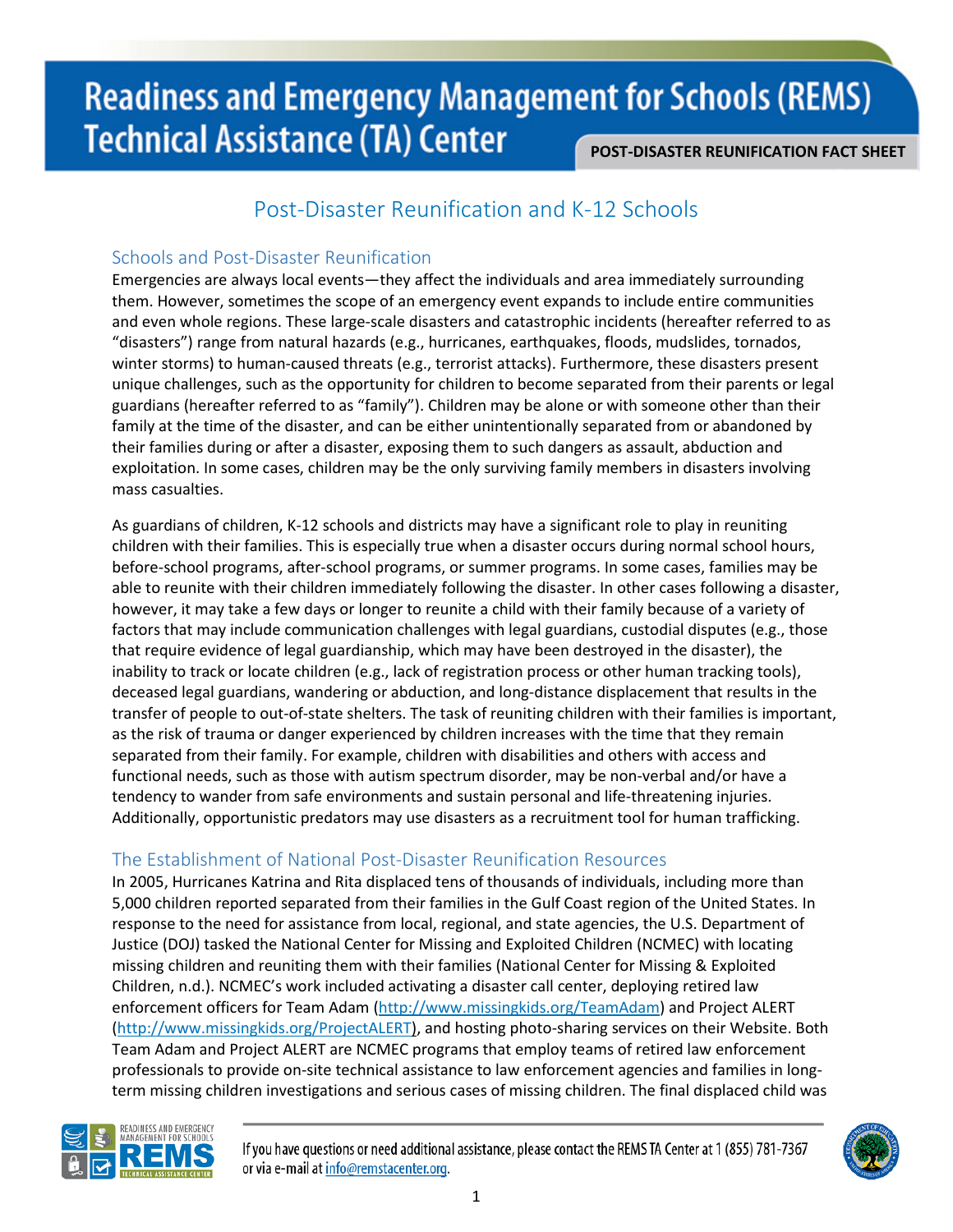# **Readiness and Emergency Management for Schools (REMS) Technical Assistance (TA) Center**

#### **POST-DISASTER REUNIFICATION FACT SHEET**

## Post-Disaster Reunification and K-12 Schools

#### Schools and Post-Disaster Reunification

Emergencies are always local events—they affect the individuals and area immediately surrounding them. However, sometimes the scope of an emergency event expands to include entire communities and even whole regions. These large-scale disasters and catastrophic incidents (hereafter referred to as "disasters") range from natural hazards (e.g., hurricanes, earthquakes, floods, mudslides, tornados, winter storms) to human-caused threats (e.g., terrorist attacks). Furthermore, these disasters present unique challenges, such as the opportunity for children to become separated from their parents or legal guardians (hereafter referred to as "family"). Children may be alone or with someone other than their family at the time of the disaster, and can be either unintentionally separated from or abandoned by their families during or after a disaster, exposing them to such dangers as assault, abduction and exploitation. In some cases, children may be the only surviving family members in disasters involving mass casualties.

As guardians of children, K-12 schools and districts may have a significant role to play in reuniting children with their families. This is especially true when a disaster occurs during normal school hours, before-school programs, after-school programs, or summer programs. In some cases, families may be able to reunite with their children immediately following the disaster. In other cases following a disaster, however, it may take a few days or longer to reunite a child with their family because of a variety of factors that may include communication challenges with legal guardians, custodial disputes (e.g., those that require evidence of legal guardianship, which may have been destroyed in the disaster), the inability to track or locate children (e.g., lack of registration process or other human tracking tools), deceased legal guardians, wandering or abduction, and long-distance displacement that results in the transfer of people to out-of-state shelters. The task of reuniting children with their families is important, as the risk of trauma or danger experienced by children increases with the time that they remain separated from their family. For example, children with disabilities and others with access and functional needs, such as those with autism spectrum disorder, may be non-verbal and/or have a tendency to wander from safe environments and sustain personal and life-threatening injuries. Additionally, opportunistic predators may use disasters as a recruitment tool for human trafficking.

### The Establishment of National Post-Disaster Reunification Resources

In 2005, Hurricanes Katrina and Rita displaced tens of thousands of individuals, including more than 5,000 children reported separated from their families in the Gulf Coast region of the United States. In response to the need for assistance from local, regional, and state agencies, the U.S. Department of Justice (DOJ) tasked the National Center for Missing and Exploited Children (NCMEC) with locating missing children and reuniting them with their families (National Center for Missing & Exploited Children, n.d.). NCMEC's work included activating a disaster call center, deploying retired law enforcement officers for Team Adam [\(http://www.missingkids.org/TeamAdam\)](http://www.missingkids.org/TeamAdam) and Project ALERT [\(http://www.missingkids.org/ProjectALERT\)](http://www.missingkids.org/ProjectALERT), and hosting photo-sharing services on their Website. Both Team Adam and Project ALERT are NCMEC programs that employ teams of retired law enforcement professionals to provide on-site technical assistance to law enforcement agencies and families in longterm missing children investigations and serious cases of missing children. The final displaced child was



If you have questions or need additional assistance, please contact the REMS TA Center at 1 (855) 781-7367 or via e-mail at info@remstacenter.org.

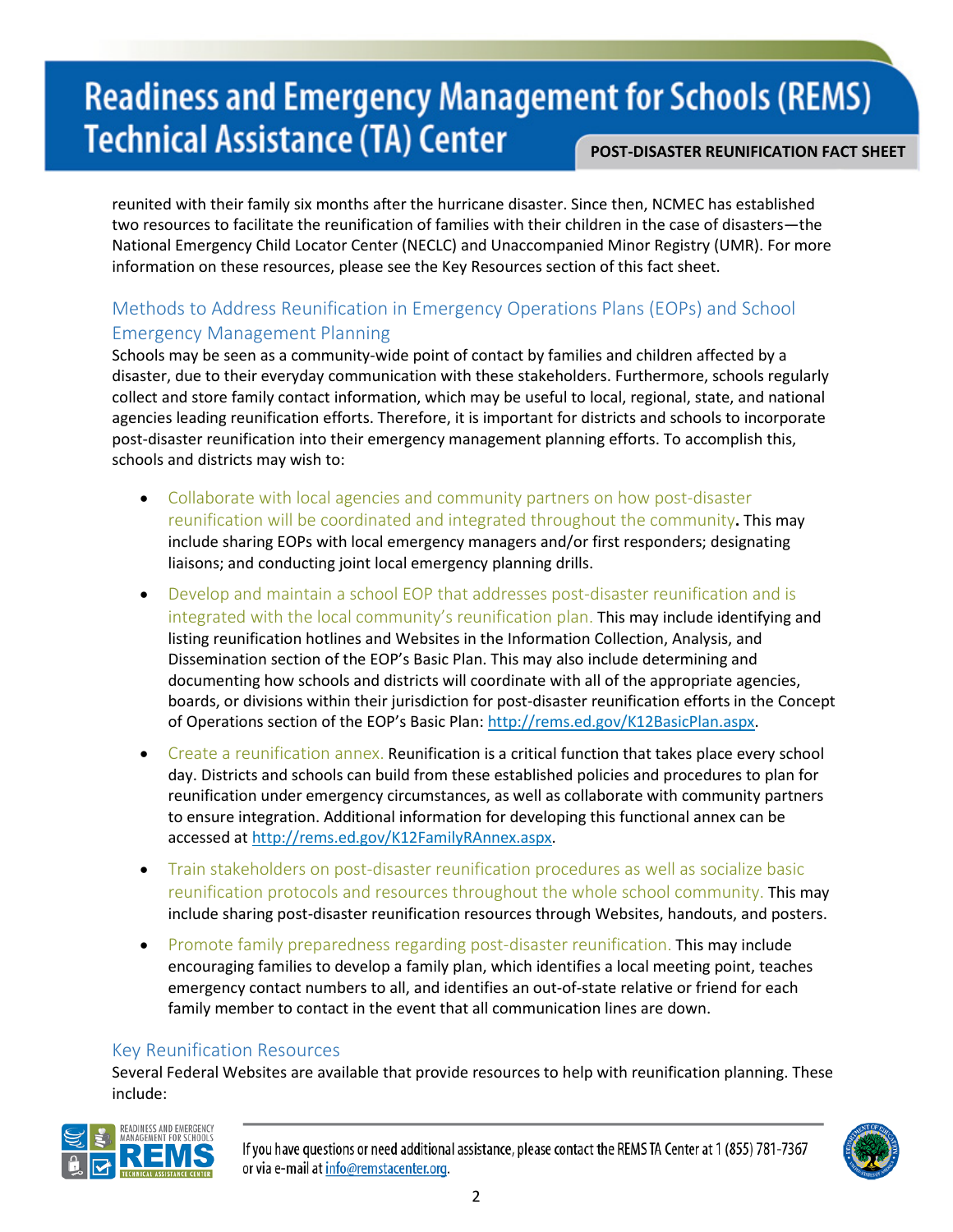# **Readiness and Emergency Management for Schools (REMS) Technical Assistance (TA) Center POST-DISASTER REUNIFICATION FACT SHEET**

reunited with their family six months after the hurricane disaster. Since then, NCMEC has established two resources to facilitate the reunification of families with their children in the case of disasters—the National Emergency Child Locator Center (NECLC) and Unaccompanied Minor Registry (UMR). For more information on these resources, please see the Key Resources section of this fact sheet.

## Methods to Address Reunification in Emergency Operations Plans (EOPs) and School Emergency Management Planning

Schools may be seen as a community-wide point of contact by families and children affected by a disaster, due to their everyday communication with these stakeholders. Furthermore, schools regularly collect and store family contact information, which may be useful to local, regional, state, and national agencies leading reunification efforts. Therefore, it is important for districts and schools to incorporate post-disaster reunification into their emergency management planning efforts. To accomplish this, schools and districts may wish to:

- Collaborate with local agencies and community partners on how post-disaster reunification will be coordinated and integrated throughout the community**.** This may include sharing EOPs with local emergency managers and/or first responders; designating liaisons; and conducting joint local emergency planning drills.
- Develop and maintain a school EOP that addresses post-disaster reunification and is integrated with the local community's reunification plan. This may include identifying and listing reunification hotlines and Websites in the Information Collection, Analysis, and Dissemination section of the EOP's Basic Plan. This may also include determining and documenting how schools and districts will coordinate with all of the appropriate agencies, boards, or divisions within their jurisdiction for post-disaster reunification efforts in the Concept of Operations section of the EOP's Basic Plan: [http://rems.ed.gov/K12BasicPlan.aspx.](http://rems.ed.gov/K12BasicPlan.aspx)
- Create a reunification annex. Reunification is a critical function that takes place every school day. Districts and schools can build from these established policies and procedures to plan for reunification under emergency circumstances, as well as collaborate with community partners to ensure integration. Additional information for developing this functional annex can be accessed at [http://rems.ed.gov/K12FamilyRAnnex.aspx.](http://rems.ed.gov/K12FamilyRAnnex.aspx)
- Train stakeholders on post-disaster reunification procedures as well as socialize basic reunification protocols and resources throughout the whole school community. This may include sharing post-disaster reunification resources through Websites, handouts, and posters.
- Promote family preparedness regarding post-disaster reunification. This may include encouraging families to develop a family plan, which identifies a local meeting point, teaches emergency contact numbers to all, and identifies an out-of-state relative or friend for each family member to contact in the event that all communication lines are down.

#### Key Reunification Resources

Several Federal Websites are available that provide resources to help with reunification planning. These include:



If you have questions or need additional assistance, please contact the REMS TA Center at 1 (855) 781-7367 or via e-mail at info@remstacenter.org.

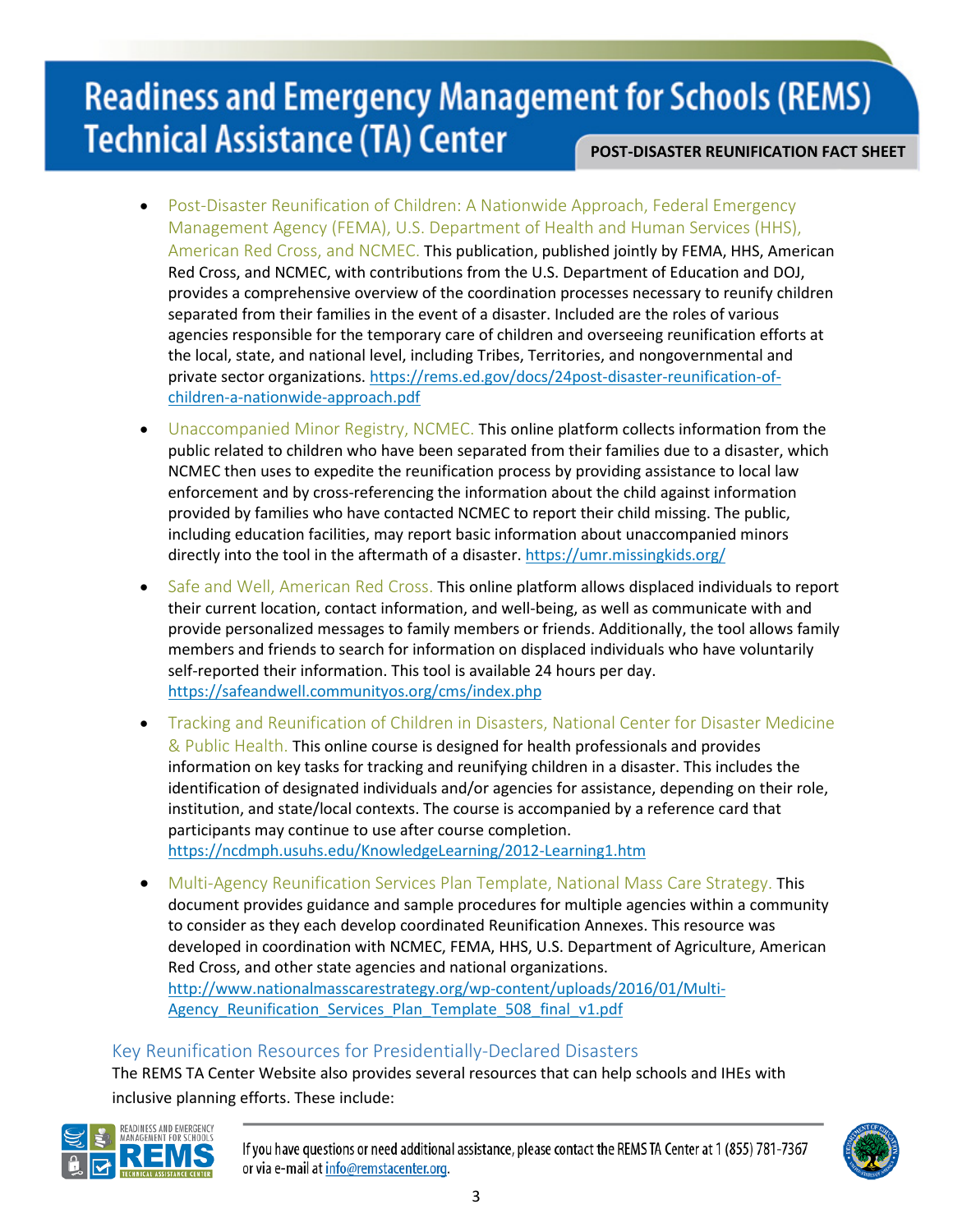# **Readiness and Emergency Management for Schools (REMS) Technical Assistance (TA) Center**

- **POST-DISASTER REUNIFICATION FACT SHEET**
- Post-Disaster Reunification of Children: A Nationwide Approach, Federal Emergency Management Agency (FEMA), U.S. Department of Health and Human Services (HHS), American Red Cross, and NCMEC. This publication, published jointly by FEMA, HHS, American Red Cross, and NCMEC, with contributions from the U.S. Department of Education and DOJ, provides a comprehensive overview of the coordination processes necessary to reunify children separated from their families in the event of a disaster. Included are the roles of various agencies responsible for the temporary care of children and overseeing reunification efforts at the local, state, and national level, including Tribes, Territories, and nongovernmental and private sector organizations[. https://rems.ed.gov/docs/24post-disaster-reunification-of](https://rems.ed.gov/docs/24post-disaster-reunification-of-children-a-nationwide-approach.pdf)[children-a-nationwide-approach.pdf](https://rems.ed.gov/docs/24post-disaster-reunification-of-children-a-nationwide-approach.pdf)
- Unaccompanied Minor Registry, NCMEC. This online platform collects information from the public related to children who have been separated from their families due to a disaster, which NCMEC then uses to expedite the reunification process by providing assistance to local law enforcement and by cross-referencing the information about the child against information provided by families who have contacted NCMEC to report their child missing. The public, including education facilities, may report basic information about unaccompanied minors directly into the tool in the aftermath of a disaster[. https://umr.missingkids.org/](https://umr.missingkids.org/)
- Safe and Well, American Red Cross. This online platform allows displaced individuals to report their current location, contact information, and well-being, as well as communicate with and provide personalized messages to family members or friends. Additionally, the tool allows family members and friends to search for information on displaced individuals who have voluntarily self-reported their information. This tool is available 24 hours per day. <https://safeandwell.communityos.org/cms/index.php>
- Tracking and Reunification of Children in Disasters, National Center for Disaster Medicine & Public Health. This online course is designed for health professionals and provides information on key tasks for tracking and reunifying children in a disaster. This includes the identification of designated individuals and/or agencies for assistance, depending on their role, institution, and state/local contexts. The course is accompanied by a reference card that participants may continue to use after course completion. <https://ncdmph.usuhs.edu/KnowledgeLearning/2012-Learning1.htm>
- Multi-Agency Reunification Services Plan Template, National Mass Care Strategy. This document provides guidance and sample procedures for multiple agencies within a community to consider as they each develop coordinated Reunification Annexes. This resource was developed in coordination with NCMEC, FEMA, HHS, U.S. Department of Agriculture, American Red Cross, and other state agencies and national organizations. [http://www.nationalmasscarestrategy.org/wp-content/uploads/2016/01/Multi-](http://www.nationalmasscarestrategy.org/wp-content/uploads/2016/01/Multi-Agency_Reunification_Services_Plan_Template_508_final_v1.pdf)Agency Reunification Services Plan Template 508 final v1.pdf

#### Key Reunification Resources for Presidentially-Declared Disasters

The REMS TA Center Website also provides several resources that can help schools and IHEs with inclusive planning efforts. These include:



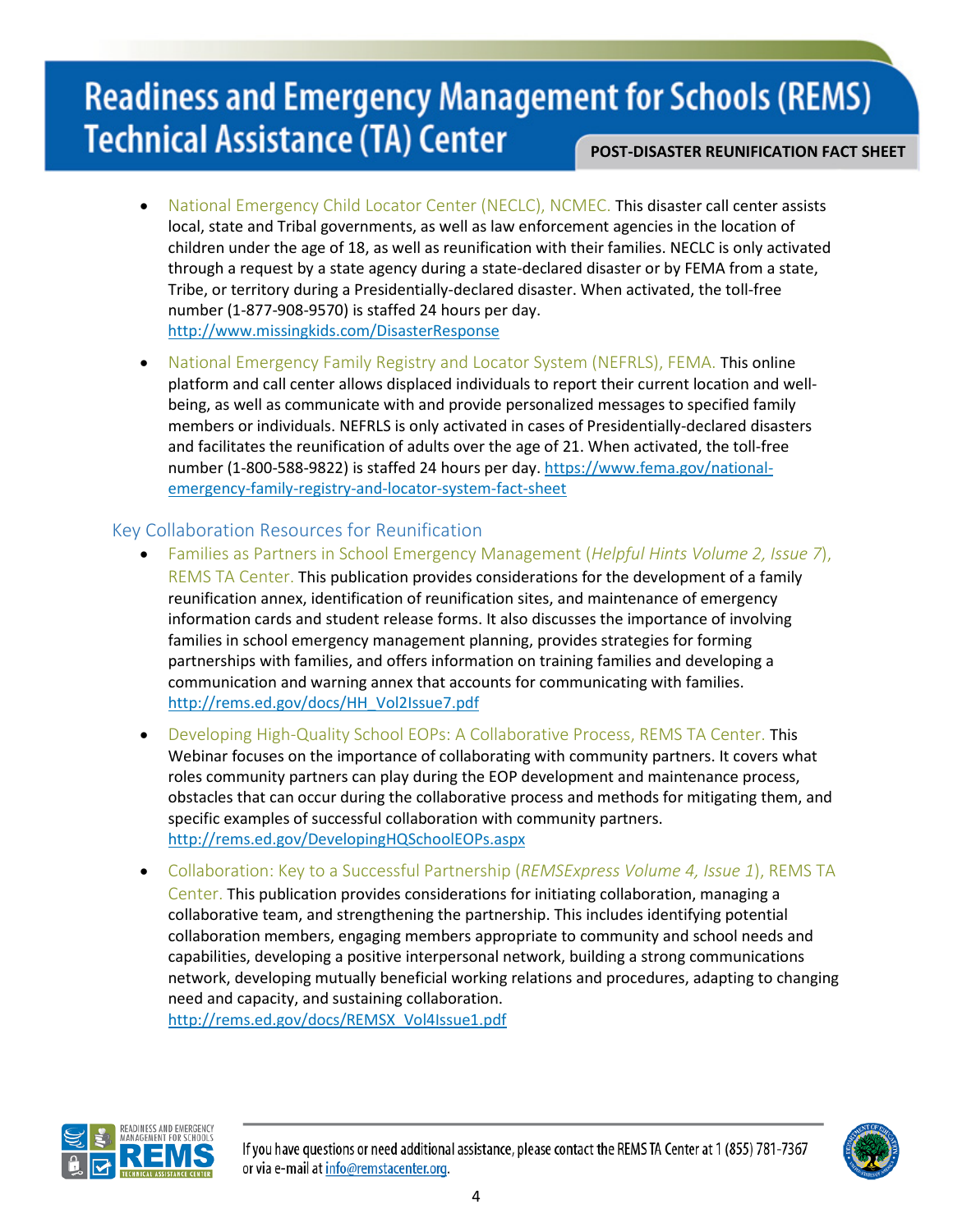# **Readiness and Emergency Management for Schools (REMS) Technical Assistance (TA) Center POST-DISASTER REUNIFICATION FACT SHEET**

- National Emergency Child Locator Center (NECLC), NCMEC. This disaster call center assists local, state and Tribal governments, as well as law enforcement agencies in the location of children under the age of 18, as well as reunification with their families. NECLC is only activated through a request by a state agency during a state-declared disaster or by FEMA from a state, Tribe, or territory during a Presidentially-declared disaster. When activated, the toll-free number (1-877-908-9570) is staffed 24 hours per day. <http://www.missingkids.com/DisasterResponse>
- National Emergency Family Registry and Locator System (NEFRLS), FEMA. This online platform and call center allows displaced individuals to report their current location and wellbeing, as well as communicate with and provide personalized messages to specified family members or individuals. NEFRLS is only activated in cases of Presidentially-declared disasters and facilitates the reunification of adults over the age of 21. When activated, the toll-free number (1-800-588-9822) is staffed 24 hours per day. [https://www.fema.gov/national](https://www.fema.gov/national-emergency-family-registry-and-locator-system-fact-sheet)[emergency-family-registry-and-locator-system-fact-sheet](https://www.fema.gov/national-emergency-family-registry-and-locator-system-fact-sheet)

### Key Collaboration Resources for Reunification

- Families as Partners in School Emergency Management (*Helpful Hints Volume 2, Issue 7*), REMS TA Center. This publication provides considerations for the development of a family reunification annex, identification of reunification sites, and maintenance of emergency information cards and student release forms. It also discusses the importance of involving families in school emergency management planning, provides strategies for forming partnerships with families, and offers information on training families and developing a communication and warning annex that accounts for communicating with families. [http://rems.ed.gov/docs/HH\\_Vol2Issue7.pdf](http://rems.ed.gov/docs/HH_Vol2Issue7.pdf)
- Developing High-Quality School EOPs: A Collaborative Process, REMS TA Center. This Webinar focuses on the importance of collaborating with community partners. It covers what roles community partners can play during the EOP development and maintenance process, obstacles that can occur during the collaborative process and methods for mitigating them, and specific examples of successful collaboration with community partners. <http://rems.ed.gov/DevelopingHQSchoolEOPs.aspx>
- Collaboration: Key to a Successful Partnership (*REMSExpress Volume 4, Issue 1*), REMS TA Center. This publication provides considerations for initiating collaboration, managing a collaborative team, and strengthening the partnership. This includes identifying potential collaboration members, engaging members appropriate to community and school needs and capabilities, developing a positive interpersonal network, building a strong communications network, developing mutually beneficial working relations and procedures, adapting to changing need and capacity, and sustaining collaboration.

[http://rems.ed.gov/docs/REMSX\\_Vol4Issue1.pdf](http://rems.ed.gov/docs/REMSX_Vol4Issue1.pdf)